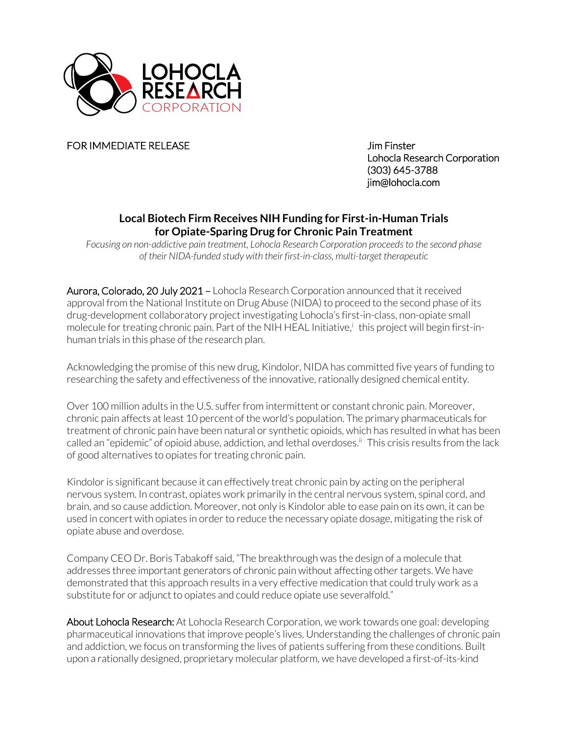

FOR IMMEDIATE RELEASE Jim Finster

Lohocla Research Corporation (303) 645-3788 jim@lohocla.com

## **Local Biotech Firm Receives NIH Funding for First-in-Human Trials for Opiate-Sparing Drug for Chronic Pain Treatment**

*Focusing on non-addictive pain treatment, Lohocla Research Corporation proceeds to the second phase of their NIDA-funded study with their first-in-class, multi-target therapeutic*

Aurora, Colorado, 20 July 2021 – Lohocla Research Corporation announced that it received approval from the National Institute on Drug Abuse (NIDA) to proceed to the second phase of its drug-development collaboratory project investigating Lohocla's first-in-class, non-opiate small molecule for treating chronic pain. Part of the NIH HEAL Initiative,<sup>i</sup> this project will begin first-inhuman trials in this phase of the research plan.

Acknowledging the promise of this new drug, Kindolor, NIDA has committed five years of funding to researching the safety and effectiveness of the innovative, rationally designed chemical entity.

Over 100 million adults in the U.S. suffer from intermittent or constant chronic pain. Moreover, chronic pain affects at least 10 percent of the world's population. The primary pharmaceuticals for treatment of chronic pain have been natural or synthetic opioids, which has resulted in what has been called an "epidemic" of opioid abuse, addiction, and lethal overdoses.<sup>ii</sup> This crisis results from the lack of good alternatives to opiates for treating chronic pain.

Kindolor is significant because it can effectively treat chronic pain by acting on the peripheral nervous system. In contrast, opiates work primarily in the central nervous system, spinal cord, and brain, and so cause addiction. Moreover, not only is Kindolor able to ease pain on its own, it can be used in concert with opiates in order to reduce the necessary opiate dosage, mitigating the risk of opiate abuse and overdose.

Company CEO Dr. Boris Tabakoff said, "The breakthrough was the design of a molecule that addresses three important generators of chronic pain without affecting other targets. We have demonstrated that this approach results in a very effective medication that could truly work as a substitute for or adjunct to opiates and could reduce opiate use severalfold."

About Lohocla Research: At Lohocla Research Corporation, we work towards one goal: developing pharmaceutical innovations that improve people's lives. Understanding the challenges of chronic pain and addiction, we focus on transforming the lives of patients suffering from these conditions. Built upon a rationally designed, proprietary molecular platform, we have developed a first-of-its-kind